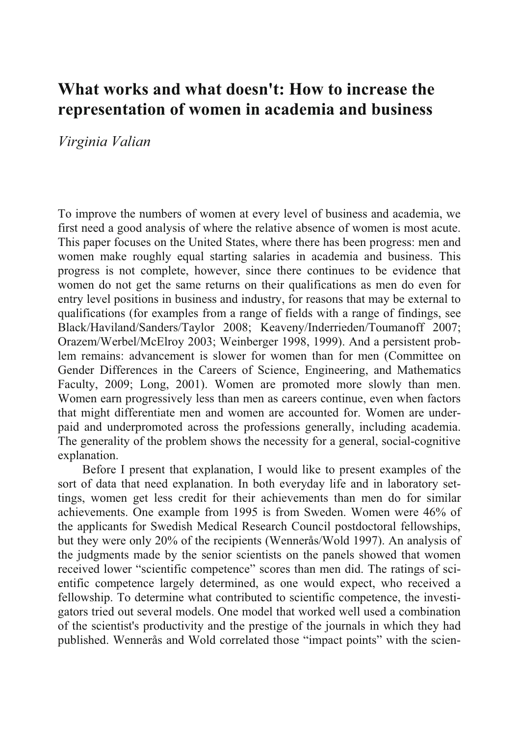## **What works and what doesn't: How to increase the representation of women in academia and business**

*Virginia Valian* 

To improve the numbers of women at every level of business and academia, we first need a good analysis of where the relative absence of women is most acute. This paper focuses on the United States, where there has been progress: men and women make roughly equal starting salaries in academia and business. This progress is not complete, however, since there continues to be evidence that women do not get the same returns on their qualifications as men do even for entry level positions in business and industry, for reasons that may be external to qualifications (for examples from a range of fields with a range of findings, see Black/Haviland/Sanders/Taylor 2008; Keaveny/Inderrieden/Toumanoff 2007; Orazem/Werbel/McElroy 2003; Weinberger 1998, 1999). And a persistent problem remains: advancement is slower for women than for men (Committee on Gender Differences in the Careers of Science, Engineering, and Mathematics Faculty, 2009; Long, 2001). Women are promoted more slowly than men. Women earn progressively less than men as careers continue, even when factors that might differentiate men and women are accounted for. Women are underpaid and underpromoted across the professions generally, including academia. The generality of the problem shows the necessity for a general, social-cognitive explanation.

Before I present that explanation, I would like to present examples of the sort of data that need explanation. In both everyday life and in laboratory settings, women get less credit for their achievements than men do for similar achievements. One example from 1995 is from Sweden. Women were 46% of the applicants for Swedish Medical Research Council postdoctoral fellowships, but they were only 20% of the recipients (Wennerås/Wold 1997). An analysis of the judgments made by the senior scientists on the panels showed that women received lower "scientific competence" scores than men did. The ratings of scientific competence largely determined, as one would expect, who received a fellowship. To determine what contributed to scientific competence, the investigators tried out several models. One model that worked well used a combination of the scientist's productivity and the prestige of the journals in which they had published. Wennerås and Wold correlated those "impact points" with the scien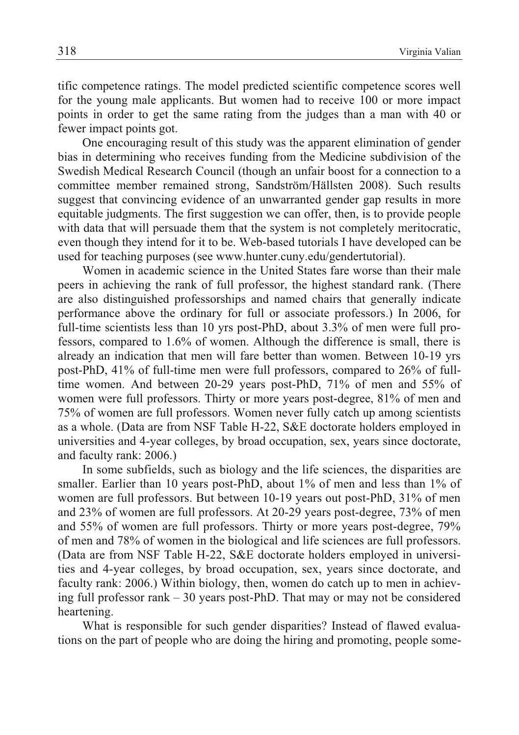tific competence ratings. The model predicted scientific competence scores well for the young male applicants. But women had to receive 100 or more impact points in order to get the same rating from the judges than a man with 40 or fewer impact points got.

One encouraging result of this study was the apparent elimination of gender bias in determining who receives funding from the Medicine subdivision of the Swedish Medical Research Council (though an unfair boost for a connection to a committee member remained strong, Sandström/Hällsten 2008). Such results suggest that convincing evidence of an unwarranted gender gap results in more equitable judgments. The first suggestion we can offer, then, is to provide people with data that will persuade them that the system is not completely meritocratic, even though they intend for it to be. Web-based tutorials I have developed can be used for teaching purposes (see www.hunter.cuny.edu/gendertutorial).

Women in academic science in the United States fare worse than their male peers in achieving the rank of full professor, the highest standard rank. (There are also distinguished professorships and named chairs that generally indicate performance above the ordinary for full or associate professors.) In 2006, for full-time scientists less than 10 yrs post-PhD, about 3.3% of men were full professors, compared to 1.6% of women. Although the difference is small, there is already an indication that men will fare better than women. Between 10-19 yrs post-PhD, 41% of full-time men were full professors, compared to 26% of fulltime women. And between 20-29 years post-PhD, 71% of men and 55% of women were full professors. Thirty or more years post-degree, 81% of men and 75% of women are full professors. Women never fully catch up among scientists as a whole. (Data are from NSF Table H-22, S&E doctorate holders employed in universities and 4-year colleges, by broad occupation, sex, years since doctorate, and faculty rank: 2006.)

In some subfields, such as biology and the life sciences, the disparities are smaller. Earlier than 10 years post-PhD, about 1% of men and less than 1% of women are full professors. But between 10-19 years out post-PhD, 31% of men and 23% of women are full professors. At 20-29 years post-degree, 73% of men and 55% of women are full professors. Thirty or more years post-degree, 79% of men and 78% of women in the biological and life sciences are full professors. (Data are from NSF Table H-22, S&E doctorate holders employed in universities and 4-year colleges, by broad occupation, sex, years since doctorate, and faculty rank: 2006.) Within biology, then, women do catch up to men in achieving full professor rank – 30 years post-PhD. That may or may not be considered heartening.

What is responsible for such gender disparities? Instead of flawed evaluations on the part of people who are doing the hiring and promoting, people some-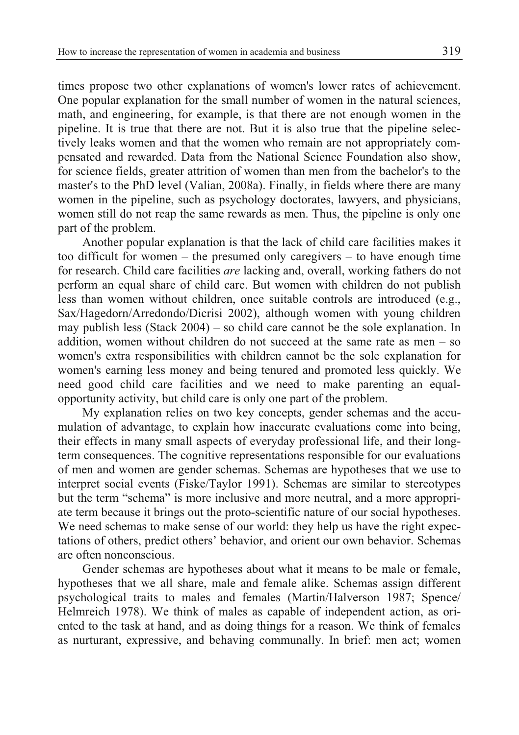times propose two other explanations of women's lower rates of achievement. One popular explanation for the small number of women in the natural sciences, math, and engineering, for example, is that there are not enough women in the pipeline. It is true that there are not. But it is also true that the pipeline selectively leaks women and that the women who remain are not appropriately compensated and rewarded. Data from the National Science Foundation also show, for science fields, greater attrition of women than men from the bachelor's to the master's to the PhD level (Valian, 2008a). Finally, in fields where there are many women in the pipeline, such as psychology doctorates, lawyers, and physicians, women still do not reap the same rewards as men. Thus, the pipeline is only one part of the problem.

Another popular explanation is that the lack of child care facilities makes it too difficult for women – the presumed only caregivers – to have enough time for research. Child care facilities *are* lacking and, overall, working fathers do not perform an equal share of child care. But women with children do not publish less than women without children, once suitable controls are introduced (e.g., Sax/Hagedorn/Arredondo/Dicrisi 2002), although women with young children may publish less (Stack 2004) – so child care cannot be the sole explanation. In addition, women without children do not succeed at the same rate as men – so women's extra responsibilities with children cannot be the sole explanation for women's earning less money and being tenured and promoted less quickly. We need good child care facilities and we need to make parenting an equalopportunity activity, but child care is only one part of the problem.

My explanation relies on two key concepts, gender schemas and the accumulation of advantage, to explain how inaccurate evaluations come into being, their effects in many small aspects of everyday professional life, and their longterm consequences. The cognitive representations responsible for our evaluations of men and women are gender schemas. Schemas are hypotheses that we use to interpret social events (Fiske/Taylor 1991). Schemas are similar to stereotypes but the term "schema" is more inclusive and more neutral, and a more appropriate term because it brings out the proto-scientific nature of our social hypotheses. We need schemas to make sense of our world: they help us have the right expectations of others, predict others' behavior, and orient our own behavior. Schemas are often nonconscious.

Gender schemas are hypotheses about what it means to be male or female, hypotheses that we all share, male and female alike. Schemas assign different psychological traits to males and females (Martin/Halverson 1987; Spence/ Helmreich 1978). We think of males as capable of independent action, as oriented to the task at hand, and as doing things for a reason. We think of females as nurturant, expressive, and behaving communally. In brief: men act; women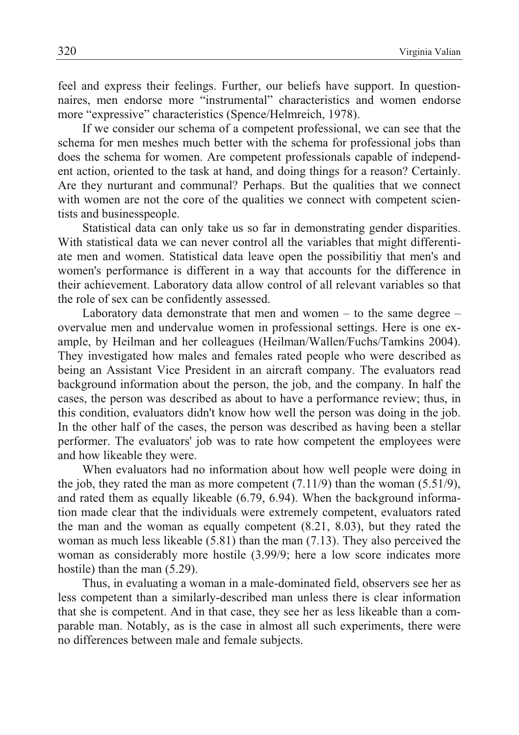feel and express their feelings. Further, our beliefs have support. In questionnaires, men endorse more "instrumental" characteristics and women endorse more "expressive" characteristics (Spence/Helmreich, 1978).

If we consider our schema of a competent professional, we can see that the schema for men meshes much better with the schema for professional jobs than does the schema for women. Are competent professionals capable of independent action, oriented to the task at hand, and doing things for a reason? Certainly. Are they nurturant and communal? Perhaps. But the qualities that we connect with women are not the core of the qualities we connect with competent scientists and businesspeople.

Statistical data can only take us so far in demonstrating gender disparities. With statistical data we can never control all the variables that might differentiate men and women. Statistical data leave open the possibilitiy that men's and women's performance is different in a way that accounts for the difference in their achievement. Laboratory data allow control of all relevant variables so that the role of sex can be confidently assessed.

Laboratory data demonstrate that men and women – to the same degree – overvalue men and undervalue women in professional settings. Here is one example, by Heilman and her colleagues (Heilman/Wallen/Fuchs/Tamkins 2004). They investigated how males and females rated people who were described as being an Assistant Vice President in an aircraft company. The evaluators read background information about the person, the job, and the company. In half the cases, the person was described as about to have a performance review; thus, in this condition, evaluators didn't know how well the person was doing in the job. In the other half of the cases, the person was described as having been a stellar performer. The evaluators' job was to rate how competent the employees were and how likeable they were.

When evaluators had no information about how well people were doing in the job, they rated the man as more competent  $(7.11/9)$  than the woman  $(5.51/9)$ , and rated them as equally likeable (6.79, 6.94). When the background information made clear that the individuals were extremely competent, evaluators rated the man and the woman as equally competent (8.21, 8.03), but they rated the woman as much less likeable (5.81) than the man (7.13). They also perceived the woman as considerably more hostile (3.99/9; here a low score indicates more hostile) than the man  $(5.29)$ .

Thus, in evaluating a woman in a male-dominated field, observers see her as less competent than a similarly-described man unless there is clear information that she is competent. And in that case, they see her as less likeable than a comparable man. Notably, as is the case in almost all such experiments, there were no differences between male and female subjects.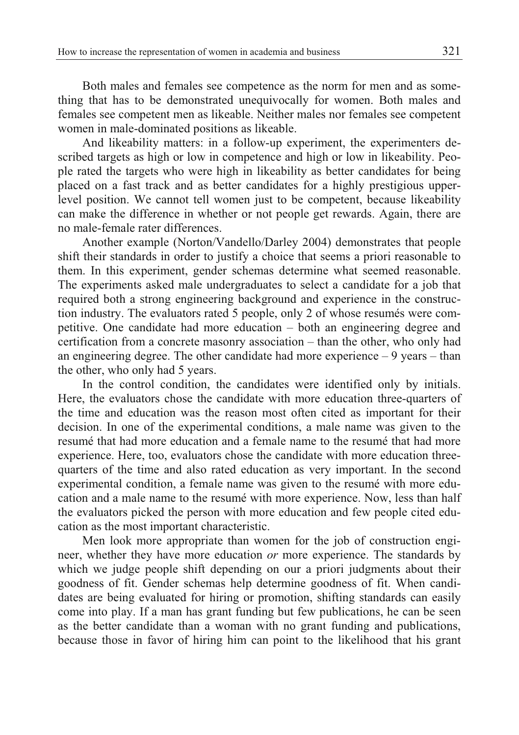Both males and females see competence as the norm for men and as something that has to be demonstrated unequivocally for women. Both males and females see competent men as likeable. Neither males nor females see competent women in male-dominated positions as likeable.

And likeability matters: in a follow-up experiment, the experimenters described targets as high or low in competence and high or low in likeability. People rated the targets who were high in likeability as better candidates for being placed on a fast track and as better candidates for a highly prestigious upperlevel position. We cannot tell women just to be competent, because likeability can make the difference in whether or not people get rewards. Again, there are no male-female rater differences.

Another example (Norton/Vandello/Darley 2004) demonstrates that people shift their standards in order to justify a choice that seems a priori reasonable to them. In this experiment, gender schemas determine what seemed reasonable. The experiments asked male undergraduates to select a candidate for a job that required both a strong engineering background and experience in the construction industry. The evaluators rated 5 people, only 2 of whose resumés were competitive. One candidate had more education – both an engineering degree and certification from a concrete masonry association – than the other, who only had an engineering degree. The other candidate had more experience  $-9$  years – than the other, who only had 5 years.

In the control condition, the candidates were identified only by initials. Here, the evaluators chose the candidate with more education three-quarters of the time and education was the reason most often cited as important for their decision. In one of the experimental conditions, a male name was given to the resumé that had more education and a female name to the resumé that had more experience. Here, too, evaluators chose the candidate with more education threequarters of the time and also rated education as very important. In the second experimental condition, a female name was given to the resumé with more education and a male name to the resumé with more experience. Now, less than half the evaluators picked the person with more education and few people cited education as the most important characteristic.

Men look more appropriate than women for the job of construction engineer, whether they have more education *or* more experience. The standards by which we judge people shift depending on our a priori judgments about their goodness of fit. Gender schemas help determine goodness of fit. When candidates are being evaluated for hiring or promotion, shifting standards can easily come into play. If a man has grant funding but few publications, he can be seen as the better candidate than a woman with no grant funding and publications, because those in favor of hiring him can point to the likelihood that his grant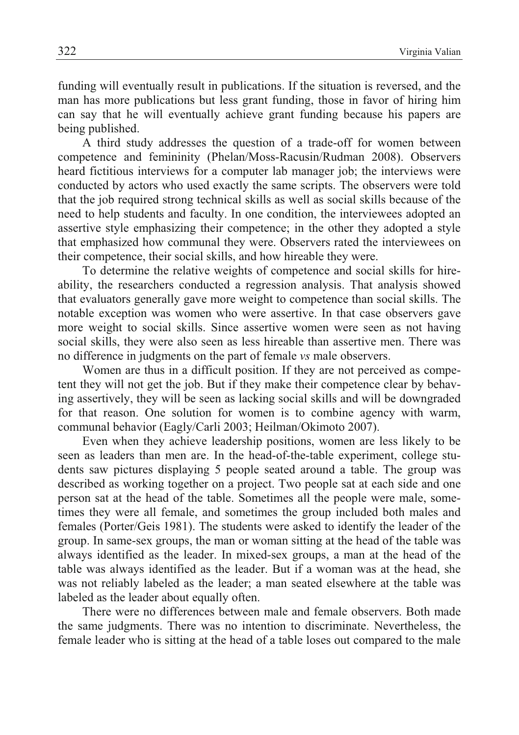funding will eventually result in publications. If the situation is reversed, and the man has more publications but less grant funding, those in favor of hiring him can say that he will eventually achieve grant funding because his papers are being published.

A third study addresses the question of a trade-off for women between competence and femininity (Phelan/Moss-Racusin/Rudman 2008). Observers heard fictitious interviews for a computer lab manager job; the interviews were conducted by actors who used exactly the same scripts. The observers were told that the job required strong technical skills as well as social skills because of the need to help students and faculty. In one condition, the interviewees adopted an assertive style emphasizing their competence; in the other they adopted a style that emphasized how communal they were. Observers rated the interviewees on their competence, their social skills, and how hireable they were.

To determine the relative weights of competence and social skills for hireability, the researchers conducted a regression analysis. That analysis showed that evaluators generally gave more weight to competence than social skills. The notable exception was women who were assertive. In that case observers gave more weight to social skills. Since assertive women were seen as not having social skills, they were also seen as less hireable than assertive men. There was no difference in judgments on the part of female *vs* male observers.

Women are thus in a difficult position. If they are not perceived as competent they will not get the job. But if they make their competence clear by behaving assertively, they will be seen as lacking social skills and will be downgraded for that reason. One solution for women is to combine agency with warm, communal behavior (Eagly/Carli 2003; Heilman/Okimoto 2007).

Even when they achieve leadership positions, women are less likely to be seen as leaders than men are. In the head-of-the-table experiment, college students saw pictures displaying 5 people seated around a table. The group was described as working together on a project. Two people sat at each side and one person sat at the head of the table. Sometimes all the people were male, sometimes they were all female, and sometimes the group included both males and females (Porter/Geis 1981). The students were asked to identify the leader of the group. In same-sex groups, the man or woman sitting at the head of the table was always identified as the leader. In mixed-sex groups, a man at the head of the table was always identified as the leader. But if a woman was at the head, she was not reliably labeled as the leader; a man seated elsewhere at the table was labeled as the leader about equally often.

There were no differences between male and female observers. Both made the same judgments. There was no intention to discriminate. Nevertheless, the female leader who is sitting at the head of a table loses out compared to the male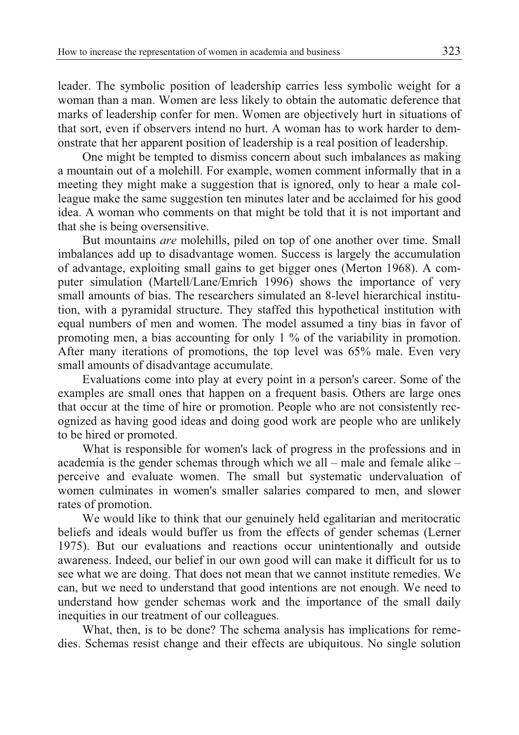leader. The symbolic position of leadership carries less symbolic weight for a woman than a man. Women are less likely to obtain the automatic deference that marks of leadership confer for men. Women are objectively hurt in situations of that sort, even if observers intend no hurt. A woman has to work harder to demonstrate that her apparent position of leadership is a real position of leadership.

One might be tempted to dismiss concern about such imbalances as making a mountain out of a molehill. For example, women comment informally that in a meeting they might make a suggestion that is ignored, only to hear a male colleague make the same suggestion ten minutes later and be acclaimed for his good idea. A woman who comments on that might be told that it is not important and that she is being oversensitive.

But mountains *are* molehills, piled on top of one another over time. Small imbalances add up to disadvantage women. Success is largely the accumulation of advantage, exploiting small gains to get bigger ones (Merton 1968). A computer simulation (Martell/Lane/Emrich 1996) shows the importance of very small amounts of bias. The researchers simulated an 8-level hierarchical institution, with a pyramidal structure. They staffed this hypothetical institution with equal numbers of men and women. The model assumed a tiny bias in favor of promoting men, a bias accounting for only 1 % of the variability in promotion. After many iterations of promotions, the top level was 65% male. Even very small amounts of disadvantage accumulate.

Evaluations come into play at every point in a person's career. Some of the examples are small ones that happen on a frequent basis. Others are large ones that occur at the time of hire or promotion. People who are not consistently recognized as having good ideas and doing good work are people who are unlikely to be hired or promoted.

What is responsible for women's lack of progress in the professions and in academia is the gender schemas through which we all – male and female alike – perceive and evaluate women. The small but systematic undervaluation of women culminates in women's smaller salaries compared to men, and slower rates of promotion.

We would like to think that our genuinely held egalitarian and meritocratic beliefs and ideals would buffer us from the effects of gender schemas (Lerner 1975). But our evaluations and reactions occur unintentionally and outside awareness. Indeed, our belief in our own good will can make it difficult for us to see what we are doing. That does not mean that we cannot institute remedies. We can, but we need to understand that good intentions are not enough. We need to understand how gender schemas work and the importance of the small daily inequities in our treatment of our colleagues.

What, then, is to be done? The schema analysis has implications for remedies. Schemas resist change and their effects are ubiquitous. No single solution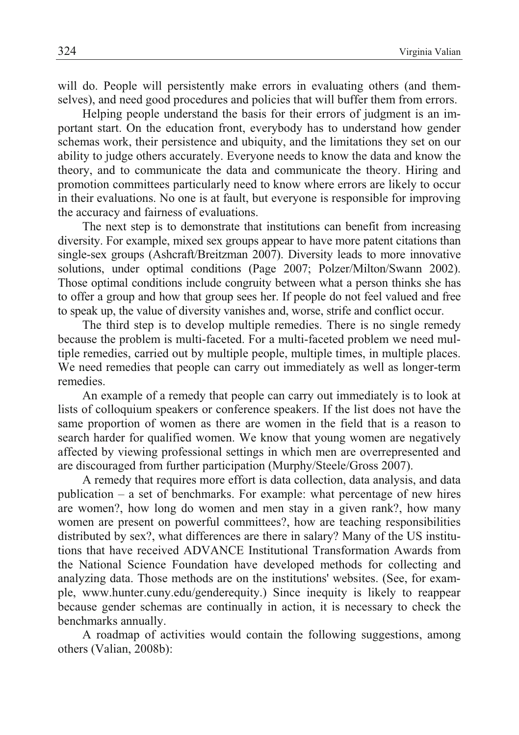will do. People will persistently make errors in evaluating others (and themselves), and need good procedures and policies that will buffer them from errors.

Helping people understand the basis for their errors of judgment is an important start. On the education front, everybody has to understand how gender schemas work, their persistence and ubiquity, and the limitations they set on our ability to judge others accurately. Everyone needs to know the data and know the theory, and to communicate the data and communicate the theory. Hiring and promotion committees particularly need to know where errors are likely to occur in their evaluations. No one is at fault, but everyone is responsible for improving the accuracy and fairness of evaluations.

The next step is to demonstrate that institutions can benefit from increasing diversity. For example, mixed sex groups appear to have more patent citations than single-sex groups (Ashcraft/Breitzman 2007). Diversity leads to more innovative solutions, under optimal conditions (Page 2007; Polzer/Milton/Swann 2002). Those optimal conditions include congruity between what a person thinks she has to offer a group and how that group sees her. If people do not feel valued and free to speak up, the value of diversity vanishes and, worse, strife and conflict occur.

The third step is to develop multiple remedies. There is no single remedy because the problem is multi-faceted. For a multi-faceted problem we need multiple remedies, carried out by multiple people, multiple times, in multiple places. We need remedies that people can carry out immediately as well as longer-term remedies.

An example of a remedy that people can carry out immediately is to look at lists of colloquium speakers or conference speakers. If the list does not have the same proportion of women as there are women in the field that is a reason to search harder for qualified women. We know that young women are negatively affected by viewing professional settings in which men are overrepresented and are discouraged from further participation (Murphy/Steele/Gross 2007).

A remedy that requires more effort is data collection, data analysis, and data publication – a set of benchmarks. For example: what percentage of new hires are women?, how long do women and men stay in a given rank?, how many women are present on powerful committees?, how are teaching responsibilities distributed by sex?, what differences are there in salary? Many of the US institutions that have received ADVANCE Institutional Transformation Awards from the National Science Foundation have developed methods for collecting and analyzing data. Those methods are on the institutions' websites. (See, for example, www.hunter.cuny.edu/genderequity.) Since inequity is likely to reappear because gender schemas are continually in action, it is necessary to check the benchmarks annually.

A roadmap of activities would contain the following suggestions, among others (Valian, 2008b):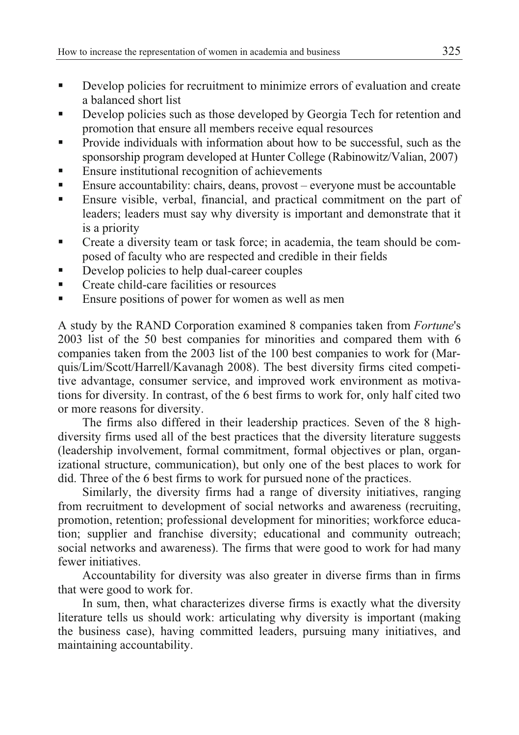- - Develop policies for recruitment to minimize errors of evaluation and create a balanced short list
- - Develop policies such as those developed by Georgia Tech for retention and promotion that ensure all members receive equal resources
- - Provide individuals with information about how to be successful, such as the sponsorship program developed at Hunter College (Rabinowitz/Valian, 2007)
- -Ensure institutional recognition of achievements
- -Ensure accountability: chairs, deans, provost – everyone must be accountable
- - Ensure visible, verbal, financial, and practical commitment on the part of leaders; leaders must say why diversity is important and demonstrate that it is a priority
- - Create a diversity team or task force; in academia, the team should be composed of faculty who are respected and credible in their fields
- -Develop policies to help dual-career couples
- -Create child-care facilities or resources
- -Ensure positions of power for women as well as men

A study by the RAND Corporation examined 8 companies taken from *Fortune*'s 2003 list of the 50 best companies for minorities and compared them with 6 companies taken from the 2003 list of the 100 best companies to work for (Marquis/Lim/Scott/Harrell/Kavanagh 2008). The best diversity firms cited competitive advantage, consumer service, and improved work environment as motivations for diversity. In contrast, of the 6 best firms to work for, only half cited two or more reasons for diversity.

The firms also differed in their leadership practices. Seven of the 8 highdiversity firms used all of the best practices that the diversity literature suggests (leadership involvement, formal commitment, formal objectives or plan, organizational structure, communication), but only one of the best places to work for did. Three of the 6 best firms to work for pursued none of the practices.

Similarly, the diversity firms had a range of diversity initiatives, ranging from recruitment to development of social networks and awareness (recruiting, promotion, retention; professional development for minorities; workforce education; supplier and franchise diversity; educational and community outreach; social networks and awareness). The firms that were good to work for had many fewer initiatives.

Accountability for diversity was also greater in diverse firms than in firms that were good to work for.

In sum, then, what characterizes diverse firms is exactly what the diversity literature tells us should work: articulating why diversity is important (making the business case), having committed leaders, pursuing many initiatives, and maintaining accountability.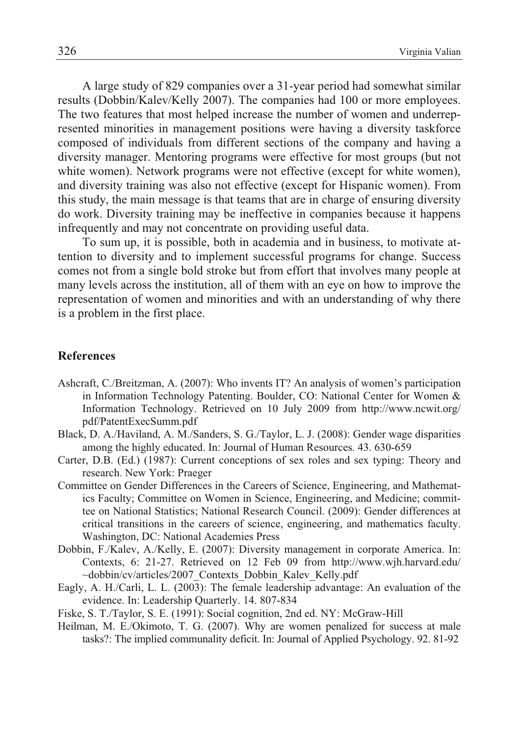A large study of 829 companies over a 31-year period had somewhat similar results (Dobbin/Kalev/Kelly 2007). The companies had 100 or more employees. The two features that most helped increase the number of women and underrepresented minorities in management positions were having a diversity taskforce composed of individuals from different sections of the company and having a diversity manager. Mentoring programs were effective for most groups (but not white women). Network programs were not effective (except for white women), and diversity training was also not effective (except for Hispanic women). From this study, the main message is that teams that are in charge of ensuring diversity do work. Diversity training may be ineffective in companies because it happens infrequently and may not concentrate on providing useful data.

To sum up, it is possible, both in academia and in business, to motivate attention to diversity and to implement successful programs for change. Success comes not from a single bold stroke but from effort that involves many people at many levels across the institution, all of them with an eye on how to improve the representation of women and minorities and with an understanding of why there is a problem in the first place.

## **References**

- Ashcraft, C./Breitzman, A. (2007): Who invents IT? An analysis of women's participation in Information Technology Patenting. Boulder, CO: National Center for Women & Information Technology. Retrieved on 10 July 2009 from http://www.ncwit.org/ pdf/PatentExecSumm.pdf
- Black, D. A./Haviland, A. M./Sanders, S. G./Taylor, L. J. (2008): Gender wage disparities among the highly educated. In: Journal of Human Resources. 43. 630-659
- Carter, D.B. (Ed.) (1987): Current conceptions of sex roles and sex typing: Theory and research. New York: Praeger
- Committee on Gender Differences in the Careers of Science, Engineering, and Mathematics Faculty; Committee on Women in Science, Engineering, and Medicine; committee on National Statistics; National Research Council. (2009): Gender differences at critical transitions in the careers of science, engineering, and mathematics faculty. Washington, DC: National Academies Press
- Dobbin, F./Kalev, A./Kelly, E. (2007): Diversity management in corporate America. In: Contexts, 6: 21-27. Retrieved on 12 Feb 09 from http://www.wjh.harvard.edu/ ~dobbin/cv/articles/2007\_Contexts\_Dobbin\_Kalev\_Kelly.pdf
- Eagly, A. H./Carli, L. L. (2003): The female leadership advantage: An evaluation of the evidence. In: Leadership Quarterly. 14. 807-834
- Fiske, S. T./Taylor, S. E. (1991): Social cognition, 2nd ed. NY: McGraw-Hill
- Heilman, M. E./Okimoto, T. G. (2007). Why are women penalized for success at male tasks?: The implied communality deficit. In: Journal of Applied Psychology. 92. 81-92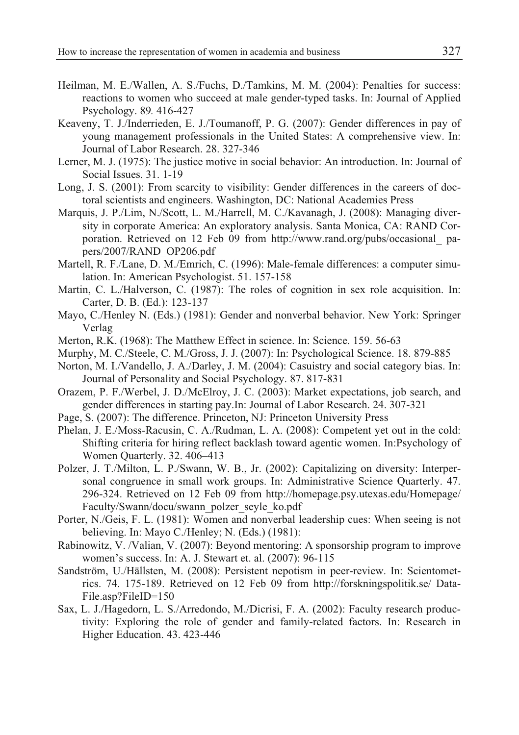- Heilman, M. E./Wallen, A. S./Fuchs, D./Tamkins, M. M. (2004): Penalties for success: reactions to women who succeed at male gender-typed tasks. In: Journal of Applied Psychology. 89*.* 416-427
- Keaveny, T. J./Inderrieden, E. J./Toumanoff, P. G. (2007): Gender differences in pay of young management professionals in the United States: A comprehensive view. In: Journal of Labor Research. 28. 327-346
- Lerner, M. J. (1975): The justice motive in social behavior: An introduction. In: Journal of Social Issues. 31. 1-19
- Long, J. S. (2001): From scarcity to visibility: Gender differences in the careers of doctoral scientists and engineers. Washington, DC: National Academies Press
- Marquis, J. P./Lim, N./Scott, L. M./Harrell, M. C./Kavanagh, J. (2008): Managing diversity in corporate America: An exploratory analysis. Santa Monica, CA: RAND Corporation. Retrieved on 12 Feb 09 from http://www.rand.org/pubs/occasional\_ papers/2007/RAND\_OP206.pdf
- Martell, R. F./Lane, D. M./Emrich, C. (1996): Male-female differences: a computer simulation. In: American Psychologist. 51. 157-158
- Martin, C. L./Halverson, C. (1987): The roles of cognition in sex role acquisition. In: Carter, D. B. (Ed.): 123-137
- Mayo, C./Henley N. (Eds.) (1981): Gender and nonverbal behavior. New York: Springer Verlag
- Merton, R.K. (1968): The Matthew Effect in science. In: Science. 159. 56-63
- Murphy, M. C./Steele, C. M./Gross, J. J. (2007): In: Psychological Science. 18. 879-885
- Norton, M. I./Vandello, J. A./Darley, J. M. (2004): Casuistry and social category bias. In: Journal of Personality and Social Psychology. 87. 817-831
- Orazem, P. F./Werbel, J. D./McElroy, J. C. (2003): Market expectations, job search, and gender differences in starting pay.In: Journal of Labor Research. 24. 307-321
- Page, S. (2007): The difference. Princeton, NJ: Princeton University Press
- Phelan, J. E./Moss-Racusin, C. A./Rudman, L. A. (2008): Competent yet out in the cold: Shifting criteria for hiring reflect backlash toward agentic women. In:Psychology of Women Quarterly. 32. 406–413
- Polzer, J. T./Milton, L. P./Swann, W. B., Jr. (2002): Capitalizing on diversity: Interpersonal congruence in small work groups. In: Administrative Science Quarterly. 47. 296-324. Retrieved on 12 Feb 09 from http://homepage.psy.utexas.edu/Homepage/ Faculty/Swann/docu/swann\_polzer\_seyle\_ko.pdf
- Porter, N./Geis, F. L. (1981): Women and nonverbal leadership cues: When seeing is not believing. In: Mayo C./Henley; N. (Eds.) (1981):
- Rabinowitz, V. /Valian, V. (2007): Beyond mentoring: A sponsorship program to improve women's success. In: A. J. Stewart et. al. (2007): 96-115
- Sandström, U./Hällsten, M. (2008): Persistent nepotism in peer-review. In: Scientometrics. 74. 175-189. Retrieved on 12 Feb 09 from http://forskningspolitik.se/ Data-File.asp?FileID=150
- Sax, L. J./Hagedorn, L. S./Arredondo, M./Dicrisi, F. A. (2002): Faculty research productivity: Exploring the role of gender and family-related factors. In: Research in Higher Education. 43. 423-446